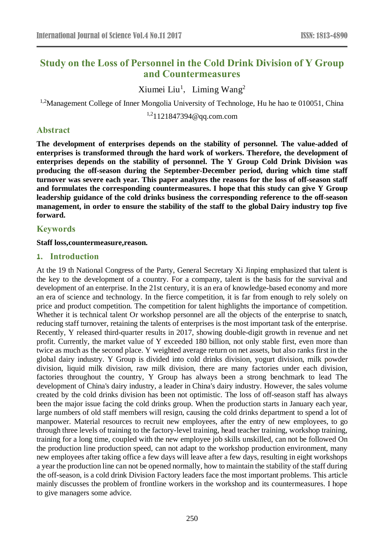# **Study on the Loss of Personnel in the Cold Drink Division of Y Group and Countermeasures**

Xiumei Liu<sup>1</sup>, Liming Wang<sup>2</sup>

<sup>1,2</sup>Management College of Inner Mongolia University of Technologe, Hu he hao te 010051, China

1,21121847394@qq.com.com

### **Abstract**

**The development of enterprises depends on the stability of personnel. The value-added of enterprises is transformed through the hard work of workers. Therefore, the development of enterprises depends on the stability of personnel. The Y Group Cold Drink Division was producing the off-season during the September-December period, during which time staff turnover was severe each year. This paper analyzes the reasons for the loss of off-season staff and formulates the corresponding countermeasures. I hope that this study can give Y Group leadership guidance of the cold drinks business the corresponding reference to the off-season management, in order to ensure the stability of the staff to the global Dairy industry top five forward.**

## **Keywords**

#### **Staff loss,countermeasure,reason.**

#### **1. Introduction**

At the 19 th National Congress of the Party, General Secretary Xi Jinping emphasized that talent is the key to the development of a country. For a company, talent is the basis for the survival and development of an enterprise. In the 21st century, it is an era of knowledge-based economy and more an era of science and technology. In the fierce competition, it is far from enough to rely solely on price and product competition. The competition for talent highlights the importance of competition. Whether it is technical talent Or workshop personnel are all the objects of the enterprise to snatch, reducing staff turnover, retaining the talents of enterprises is the most important task of the enterprise. Recently, Y released third-quarter results in 2017, showing double-digit growth in revenue and net profit. Currently, the market value of Y exceeded 180 billion, not only stable first, even more than twice as much as the second place. Y weighted average return on net assets, but also ranks first in the global dairy industry. Y Group is divided into cold drinks division, yogurt division, milk powder division, liquid milk division, raw milk division, there are many factories under each division, factories throughout the country, Y Group has always been a strong benchmark to lead The development of China's dairy industry, a leader in China's dairy industry. However, the sales volume created by the cold drinks division has been not optimistic. The loss of off-season staff has always been the major issue facing the cold drinks group. When the production starts in January each year, large numbers of old staff members will resign, causing the cold drinks department to spend a lot of manpower. Material resources to recruit new employees, after the entry of new employees, to go through three levels of training to the factory-level training, head teacher training, workshop training, training for a long time, coupled with the new employee job skills unskilled, can not be followed On the production line production speed, can not adapt to the workshop production environment, many new employees after taking office a few days will leave after a few days, resulting in eight workshops a year the production line can not be opened normally, how to maintain the stability of the staff during the off-season, is a cold drink Division Factory leaders face the most important problems. This article mainly discusses the problem of frontline workers in the workshop and its countermeasures. I hope to give managers some advice.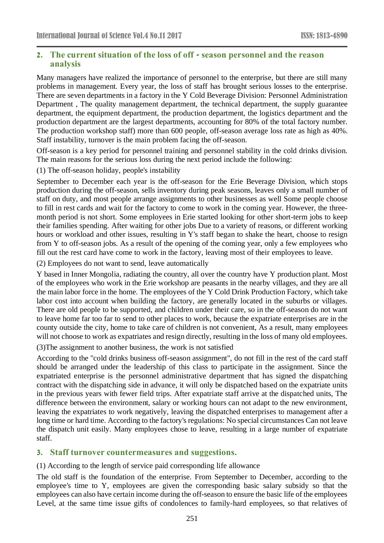## **2. The current situation of the loss of off - season personnel and the reason analysis**

Many managers have realized the importance of personnel to the enterprise, but there are still many problems in management. Every year, the loss of staff has brought serious losses to the enterprise. There are seven departments in a factory in the Y Cold Beverage Division: Personnel Administration Department , The quality management department, the technical department, the supply guarantee department, the equipment department, the production department, the logistics department and the production department are the largest departments, accounting for 80% of the total factory number. The production workshop staff) more than 600 people, off-season average loss rate as high as 40%. Staff instability, turnover is the main problem facing the off-season.

Off-season is a key period for personnel training and personnel stability in the cold drinks division. The main reasons for the serious loss during the next period include the following:

(1) The off-season holiday, people's instability

September to December each year is the off-season for the Erie Beverage Division, which stops production during the off-season, sells inventory during peak seasons, leaves only a small number of staff on duty, and most people arrange assignments to other businesses as well Some people choose to fill in rest cards and wait for the factory to come to work in the coming year. However, the threemonth period is not short. Some employees in Erie started looking for other short-term jobs to keep their families spending. After waiting for other jobs Due to a variety of reasons, or different working hours or workload and other issues, resulting in Y's staff began to shake the heart, choose to resign from Y to off-season jobs. As a result of the opening of the coming year, only a few employees who fill out the rest card have come to work in the factory, leaving most of their employees to leave.

(2) Employees do not want to send, leave automatically

Y based in Inner Mongolia, radiating the country, all over the country have Y production plant. Most of the employees who work in the Erie workshop are peasants in the nearby villages, and they are all the main labor force in the home. The employees of the Y Cold Drink Production Factory, which take labor cost into account when building the factory, are generally located in the suburbs or villages. There are old people to be supported, and children under their care, so in the off-season do not want to leave home far too far to send to other places to work, because the expatriate enterprises are in the county outside the city, home to take care of children is not convenient, As a result, many employees will not choose to work as expatriates and resign directly, resulting in the loss of many old employees.

(3)The assignment to another business, the work is not satisfied

According to the "cold drinks business off-season assignment", do not fill in the rest of the card staff should be arranged under the leadership of this class to participate in the assignment. Since the expatriated enterprise is the personnel administrative department that has signed the dispatching contract with the dispatching side in advance, it will only be dispatched based on the expatriate units in the previous years with fewer field trips. After expatriate staff arrive at the dispatched units, The difference between the environment, salary or working hours can not adapt to the new environment, leaving the expatriates to work negatively, leaving the dispatched enterprises to management after a long time or hard time. According to the factory's regulations: No special circumstances Can not leave the dispatch unit easily. Many employees chose to leave, resulting in a large number of expatriate staff.

## **3. Staff turnover countermeasures and suggestions.**

(1) According to the length of service paid corresponding life allowance

The old staff is the foundation of the enterprise. From September to December, according to the employee's time to Y, employees are given the corresponding basic salary subsidy so that the employees can also have certain income during the off-season to ensure the basic life of the employees Level, at the same time issue gifts of condolences to family-hard employees, so that relatives of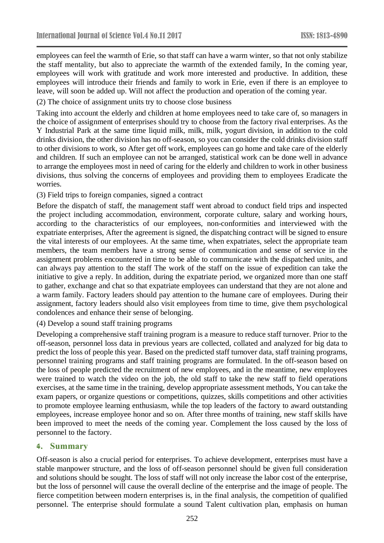employees can feel the warmth of Erie, so that staff can have a warm winter, so that not only stabilize the staff mentality, but also to appreciate the warmth of the extended family, In the coming year, employees will work with gratitude and work more interested and productive. In addition, these employees will introduce their friends and family to work in Erie, even if there is an employee to leave, will soon be added up. Will not affect the production and operation of the coming year.

(2) The choice of assignment units try to choose close business

Taking into account the elderly and children at home employees need to take care of, so managers in the choice of assignment of enterprises should try to choose from the factory rival enterprises. As the Y Industrial Park at the same time liquid milk, milk, milk, yogurt division, in addition to the cold drinks division, the other division has no off-season, so you can consider the cold drinks division staff to other divisions to work, so After get off work, employees can go home and take care of the elderly and children. If such an employee can not be arranged, statistical work can be done well in advance to arrange the employees most in need of caring for the elderly and children to work in other business divisions, thus solving the concerns of employees and providing them to employees Eradicate the worries.

(3) Field trips to foreign companies, signed a contract

Before the dispatch of staff, the management staff went abroad to conduct field trips and inspected the project including accommodation, environment, corporate culture, salary and working hours, according to the characteristics of our employees, non-conformities and interviewed with the expatriate enterprises, After the agreement is signed, the dispatching contract will be signed to ensure the vital interests of our employees. At the same time, when expatriates, select the appropriate team members, the team members have a strong sense of communication and sense of service in the assignment problems encountered in time to be able to communicate with the dispatched units, and can always pay attention to the staff The work of the staff on the issue of expedition can take the initiative to give a reply. In addition, during the expatriate period, we organized more than one staff to gather, exchange and chat so that expatriate employees can understand that they are not alone and a warm family. Factory leaders should pay attention to the humane care of employees. During their assignment, factory leaders should also visit employees from time to time, give them psychological condolences and enhance their sense of belonging.

(4) Develop a sound staff training programs

Developing a comprehensive staff training program is a measure to reduce staff turnover. Prior to the off-season, personnel loss data in previous years are collected, collated and analyzed for big data to predict the loss of people this year. Based on the predicted staff turnover data, staff training programs, personnel training programs and staff training programs are formulated. In the off-season based on the loss of people predicted the recruitment of new employees, and in the meantime, new employees were trained to watch the video on the job, the old staff to take the new staff to field operations exercises, at the same time in the training, develop appropriate assessment methods, You can take the exam papers, or organize questions or competitions, quizzes, skills competitions and other activities to promote employee learning enthusiasm, while the top leaders of the factory to award outstanding employees, increase employee honor and so on. After three months of training, new staff skills have been improved to meet the needs of the coming year. Complement the loss caused by the loss of personnel to the factory.

#### **4. Summary**

Off-season is also a crucial period for enterprises. To achieve development, enterprises must have a stable manpower structure, and the loss of off-season personnel should be given full consideration and solutions should be sought. The loss of staff will not only increase the labor cost of the enterprise, but the loss of personnel will cause the overall decline of the enterprise and the image of people. The fierce competition between modern enterprises is, in the final analysis, the competition of qualified personnel. The enterprise should formulate a sound Talent cultivation plan, emphasis on human